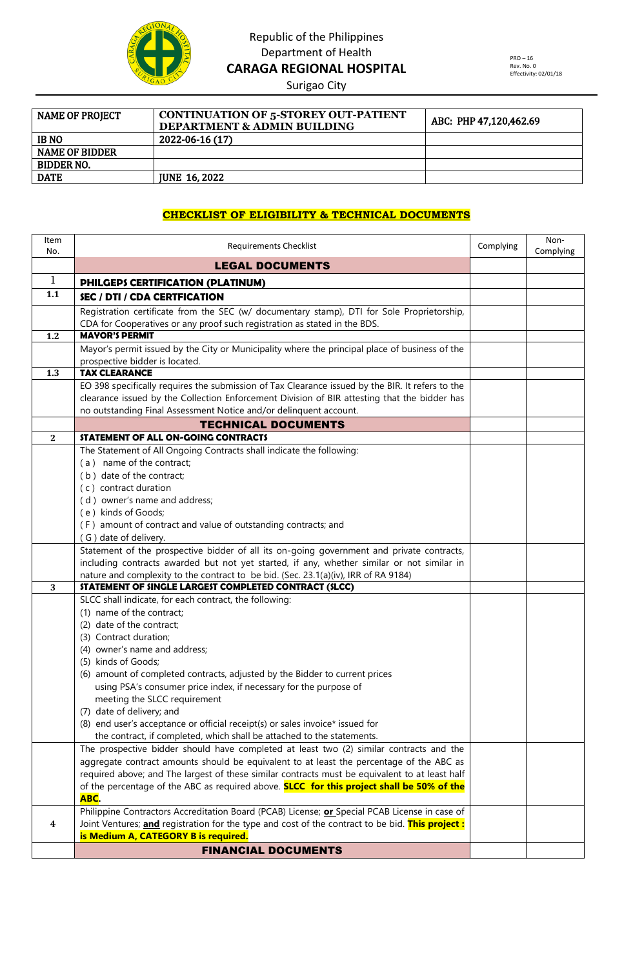

Surigao City

| <b>NAME OF PROJECT</b> | <b>CONTINUATION OF 5-STOREY OUT-PATIENT</b><br><b>DEPARTMENT &amp; ADMIN BUILDING</b> | ABC: PHP 47,120,462.69 |
|------------------------|---------------------------------------------------------------------------------------|------------------------|
| <b>IB NO</b>           | 2022-06-16 (17)                                                                       |                        |
| <b>NAME OF BIDDER</b>  |                                                                                       |                        |
| <b>BIDDER NO.</b>      |                                                                                       |                        |
| <b>DATE</b>            | <b>IUNE 16, 2022</b>                                                                  |                        |

#### **CHECKLIST OF ELIGIBILITY & TECHNICAL DOCUMENTS**

| Item<br>No.  | <b>Requirements Checklist</b>                                                                                                                                     |  | Non-<br>Complying |
|--------------|-------------------------------------------------------------------------------------------------------------------------------------------------------------------|--|-------------------|
|              | <b>LEGAL DOCUMENTS</b>                                                                                                                                            |  |                   |
| $\mathbf{1}$ | PHILGEPS CERTIFICATION (PLATINUM)                                                                                                                                 |  |                   |
| 1.1          | <b>SEC / DTI / CDA CERTFICATION</b>                                                                                                                               |  |                   |
|              | Registration certificate from the SEC (w/ documentary stamp), DTI for Sole Proprietorship,                                                                        |  |                   |
|              | CDA for Cooperatives or any proof such registration as stated in the BDS.                                                                                         |  |                   |
| 1.2          | <b>MAYOR'S PERMIT</b>                                                                                                                                             |  |                   |
|              | Mayor's permit issued by the City or Municipality where the principal place of business of the                                                                    |  |                   |
|              | prospective bidder is located.                                                                                                                                    |  |                   |
| 1.3          | <b>TAX CLEARANCE</b>                                                                                                                                              |  |                   |
|              | EO 398 specifically requires the submission of Tax Clearance issued by the BIR. It refers to the                                                                  |  |                   |
|              | clearance issued by the Collection Enforcement Division of BIR attesting that the bidder has<br>no outstanding Final Assessment Notice and/or delinquent account. |  |                   |
|              | <b>TECHNICAL DOCUMENTS</b>                                                                                                                                        |  |                   |
| $\mathbf{2}$ | STATEMENT OF ALL ON-GOING CONTRACTS                                                                                                                               |  |                   |
|              | The Statement of All Ongoing Contracts shall indicate the following:                                                                                              |  |                   |
|              | (a) name of the contract;                                                                                                                                         |  |                   |
|              | (b) date of the contract;                                                                                                                                         |  |                   |
|              | (c) contract duration                                                                                                                                             |  |                   |
|              | (d) owner's name and address;                                                                                                                                     |  |                   |
|              | (e) kinds of Goods;                                                                                                                                               |  |                   |
|              | (F) amount of contract and value of outstanding contracts; and                                                                                                    |  |                   |
|              | (G) date of delivery.                                                                                                                                             |  |                   |
|              | Statement of the prospective bidder of all its on-going government and private contracts,                                                                         |  |                   |
|              | including contracts awarded but not yet started, if any, whether similar or not similar in                                                                        |  |                   |
|              | nature and complexity to the contract to be bid. (Sec. 23.1(a)(iv), IRR of RA 9184)                                                                               |  |                   |
| 3            | STATEMENT OF SINGLE LARGEST COMPLETED CONTRACT (SLCC)                                                                                                             |  |                   |
|              | SLCC shall indicate, for each contract, the following:<br>(1) name of the contract;                                                                               |  |                   |
|              | (2) date of the contract;                                                                                                                                         |  |                   |
|              | (3) Contract duration;                                                                                                                                            |  |                   |
|              | (4) owner's name and address;                                                                                                                                     |  |                   |
|              | (5) kinds of Goods;                                                                                                                                               |  |                   |
|              | (6) amount of completed contracts, adjusted by the Bidder to current prices                                                                                       |  |                   |
|              | using PSA's consumer price index, if necessary for the purpose of                                                                                                 |  |                   |
|              | meeting the SLCC requirement                                                                                                                                      |  |                   |
|              | (7) date of delivery; and                                                                                                                                         |  |                   |
|              | (8) end user's acceptance or official receipt(s) or sales invoice* issued for                                                                                     |  |                   |
|              | the contract, if completed, which shall be attached to the statements.                                                                                            |  |                   |
|              | The prospective bidder should have completed at least two (2) similar contracts and the                                                                           |  |                   |
|              | aggregate contract amounts should be equivalent to at least the percentage of the ABC as                                                                          |  |                   |
|              | required above; and The largest of these similar contracts must be equivalent to at least half                                                                    |  |                   |
|              | of the percentage of the ABC as required above. <b>SLCC for this project shall be 50% of the</b><br>ABC.                                                          |  |                   |
|              | Philippine Contractors Accreditation Board (PCAB) License; or Special PCAB License in case of                                                                     |  |                   |
| 4            | Joint Ventures; <b>and</b> registration for the type and cost of the contract to be bid. This project:                                                            |  |                   |
|              | is Medium A, CATEGORY B is required.                                                                                                                              |  |                   |
|              | <b>FINANCIAL DOCUMENTS</b>                                                                                                                                        |  |                   |
|              |                                                                                                                                                                   |  |                   |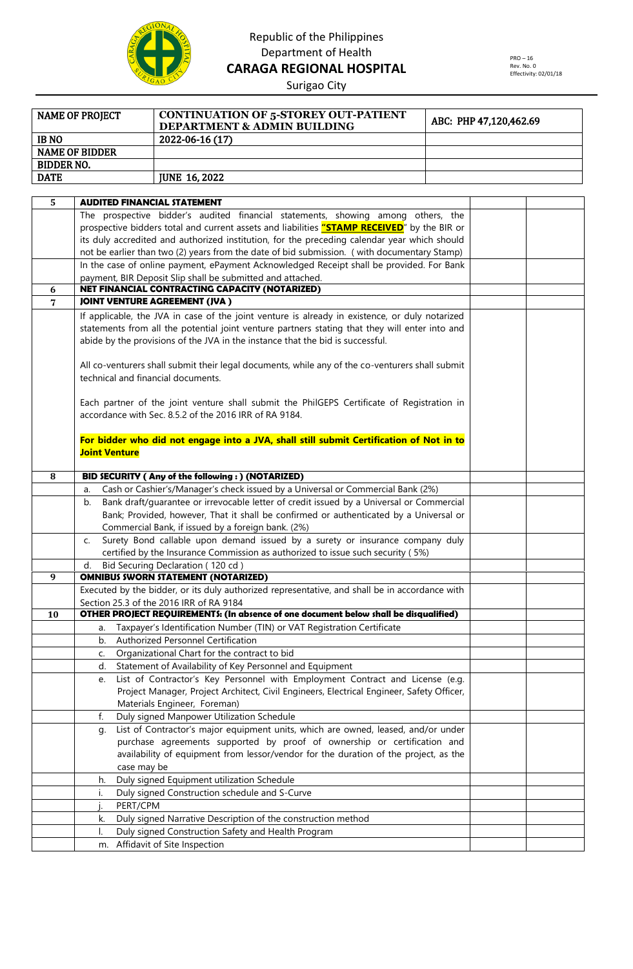

Surigao City

| <b>NAME OF PROJECT</b> | <b>CONTINUATION OF 5-STOREY OUT-PATIENT</b><br><b>DEPARTMENT &amp; ADMIN BUILDING</b> | ABC: PHP 47,120,462.69 |
|------------------------|---------------------------------------------------------------------------------------|------------------------|
| <b>IB NO</b>           | 2022-06-16 (17)                                                                       |                        |
| <b>NAME OF BIDDER</b>  |                                                                                       |                        |
| BIDDER NO.             |                                                                                       |                        |
| <b>DATE</b>            | <b>JUNE 16, 2022</b>                                                                  |                        |

| 5              | <b>AUDITED FINANCIAL STATEMENT</b>                                                                                              |  |  |
|----------------|---------------------------------------------------------------------------------------------------------------------------------|--|--|
|                | The prospective bidder's audited financial statements, showing among others, the                                                |  |  |
|                | prospective bidders total and current assets and liabilities "STAMP RECEIVED" by the BIR or                                     |  |  |
|                | its duly accredited and authorized institution, for the preceding calendar year which should                                    |  |  |
|                | not be earlier than two (2) years from the date of bid submission. (with documentary Stamp)                                     |  |  |
|                | In the case of online payment, ePayment Acknowledged Receipt shall be provided. For Bank                                        |  |  |
|                | payment, BIR Deposit Slip shall be submitted and attached.                                                                      |  |  |
| 6              | NET FINANCIAL CONTRACTING CAPACITY (NOTARIZED)                                                                                  |  |  |
| $\overline{7}$ | <b>JOINT VENTURE AGREEMENT (JVA)</b>                                                                                            |  |  |
|                | If applicable, the JVA in case of the joint venture is already in existence, or duly notarized                                  |  |  |
|                | statements from all the potential joint venture partners stating that they will enter into and                                  |  |  |
|                | abide by the provisions of the JVA in the instance that the bid is successful.                                                  |  |  |
|                |                                                                                                                                 |  |  |
|                | All co-venturers shall submit their legal documents, while any of the co-venturers shall submit                                 |  |  |
|                | technical and financial documents.                                                                                              |  |  |
|                |                                                                                                                                 |  |  |
|                | Each partner of the joint venture shall submit the PhilGEPS Certificate of Registration in                                      |  |  |
|                | accordance with Sec. 8.5.2 of the 2016 IRR of RA 9184.                                                                          |  |  |
|                |                                                                                                                                 |  |  |
|                | For bidder who did not engage into a JVA, shall still submit Certification of Not in to                                         |  |  |
|                | <b>Joint Venture</b>                                                                                                            |  |  |
|                |                                                                                                                                 |  |  |
| 8              | BID SECURITY (Any of the following:) (NOTARIZED)                                                                                |  |  |
|                | Cash or Cashier's/Manager's check issued by a Universal or Commercial Bank (2%)<br>a.                                           |  |  |
|                | Bank draft/guarantee or irrevocable letter of credit issued by a Universal or Commercial<br>b.                                  |  |  |
|                | Bank; Provided, however, That it shall be confirmed or authenticated by a Universal or                                          |  |  |
|                | Commercial Bank, if issued by a foreign bank. (2%)                                                                              |  |  |
|                | Surety Bond callable upon demand issued by a surety or insurance company duly<br>C.                                             |  |  |
|                | certified by the Insurance Commission as authorized to issue such security (5%)                                                 |  |  |
|                | Bid Securing Declaration (120 cd)<br>d.                                                                                         |  |  |
| 9              | <b>OMNIBUS SWORN STATEMENT (NOTARIZED)</b>                                                                                      |  |  |
|                | Executed by the bidder, or its duly authorized representative, and shall be in accordance with                                  |  |  |
|                | Section 25.3 of the 2016 IRR of RA 9184<br>OTHER PROJECT REQUIREMENTS: (In absence of one document below shall be disqualified) |  |  |
| 10             |                                                                                                                                 |  |  |
|                | Taxpayer's Identification Number (TIN) or VAT Registration Certificate<br>а.<br>b. Authorized Personnel Certification           |  |  |
|                |                                                                                                                                 |  |  |
|                | c. Organizational Chart for the contract to bid                                                                                 |  |  |
|                | Statement of Availability of Key Personnel and Equipment<br>d.                                                                  |  |  |
|                | List of Contractor's Key Personnel with Employment Contract and License (e.g.<br>e.                                             |  |  |
|                | Project Manager, Project Architect, Civil Engineers, Electrical Engineer, Safety Officer,<br>Materials Engineer, Foreman)       |  |  |
|                | f.<br>Duly signed Manpower Utilization Schedule                                                                                 |  |  |
|                | List of Contractor's major equipment units, which are owned, leased, and/or under                                               |  |  |
|                | g.<br>purchase agreements supported by proof of ownership or certification and                                                  |  |  |
|                | availability of equipment from lessor/vendor for the duration of the project, as the                                            |  |  |
|                | case may be                                                                                                                     |  |  |
|                | Duly signed Equipment utilization Schedule<br>h.                                                                                |  |  |
|                | Duly signed Construction schedule and S-Curve                                                                                   |  |  |
|                | i.<br>PERT/CPM                                                                                                                  |  |  |
|                |                                                                                                                                 |  |  |
|                | Duly signed Narrative Description of the construction method<br>k.                                                              |  |  |
|                | Duly signed Construction Safety and Health Program<br>I.                                                                        |  |  |
|                | Affidavit of Site Inspection<br>m.                                                                                              |  |  |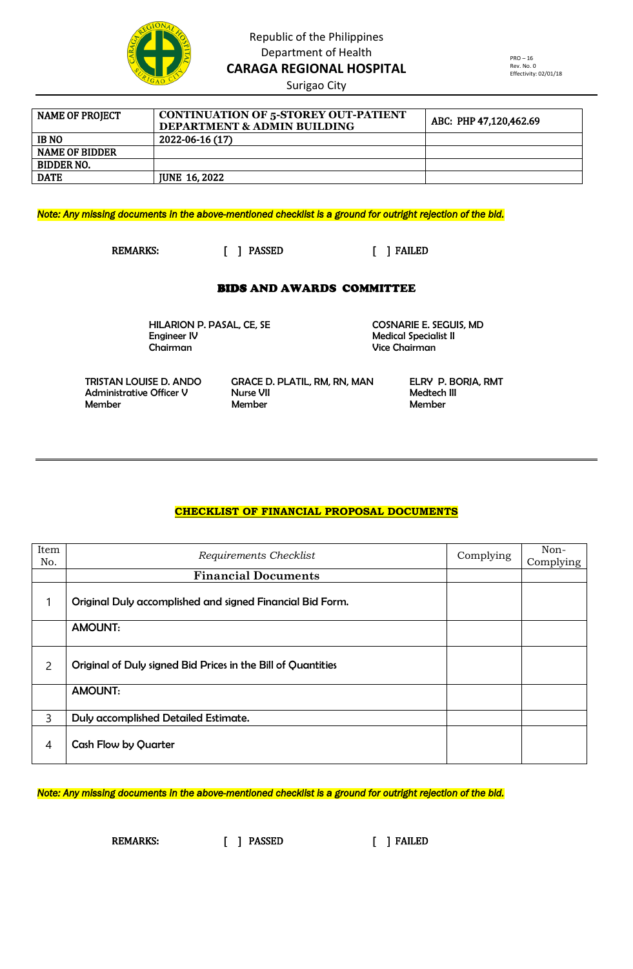

Surigao City

| <b>NAME OF PROJECT</b> | <b>CONTINUATION OF 5-STOREY OUT-PATIENT</b><br><b>DEPARTMENT &amp; ADMIN BUILDING</b> | ABC: PHP 47,120,462.69 |
|------------------------|---------------------------------------------------------------------------------------|------------------------|
| <b>IB NO</b>           | 2022-06-16 (17)                                                                       |                        |
| <b>NAME OF BIDDER</b>  |                                                                                       |                        |
| BIDDER NO.             |                                                                                       |                        |
| <b>DATE</b>            | <b>IUNE 16, 2022</b>                                                                  |                        |

*Note: Any missing documents in the above-mentioned checklist is a ground for outright rejection of the bid.* 

REMARKS: [ ] PASSED [ ] FAILED

#### BIDS AND AWARDS COMMITTEE

HILARION P. PASAL, CE, SE COSNARIE E. SEGUIS, MD<br>Engineer IV Chairman Vice Chairman

**Medical Specialist II** 

 TRISTAN LOUISE D. ANDO GRACE D. PLATIL, RM, RN, MAN ELRY P. BORJA, RMT Administrative Officer V Nurse VII Medtech III Member Member Member

### **CHECKLIST OF FINANCIAL PROPOSAL DOCUMENTS**

| Item<br>No.    | Requirements Checklist                                       | Complying | Non-<br>Complying |
|----------------|--------------------------------------------------------------|-----------|-------------------|
|                | <b>Financial Documents</b>                                   |           |                   |
|                | Original Duly accomplished and signed Financial Bid Form.    |           |                   |
|                | <b>AMOUNT:</b>                                               |           |                   |
| $\overline{2}$ | Original of Duly signed Bid Prices in the Bill of Quantities |           |                   |
|                | <b>AMOUNT:</b>                                               |           |                   |
| 3              | Duly accomplished Detailed Estimate.                         |           |                   |
| $\overline{4}$ | <b>Cash Flow by Quarter</b>                                  |           |                   |

*Note: Any missing documents in the above-mentioned checklist is a ground for outright rejection of the bid.* 

REMARKS: [ ] PASSED [ ] FAILED